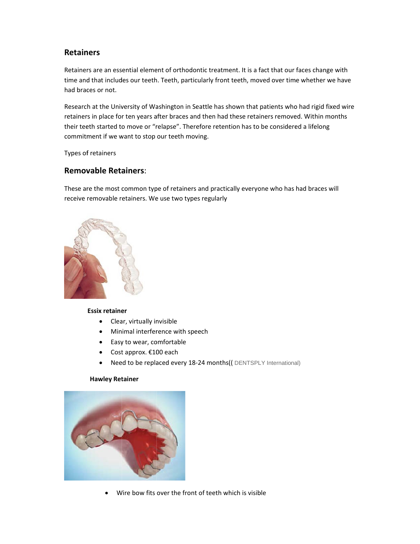# **Retainers**

Retainers are an essential element of orthodontic treatment. It is a fact that our faces change with time and that includes our teeth. Teeth, particularly front teeth, moved over time whether we have had braces or not.

Research at the University of Washington in Seattle has shown that patients who had rigid fixed wire retainers in place for ten years after braces and then had these retainers removed. Within months their teeth started to move or "relapse". Therefore retention has to be considered a lifelong commitment if we want to stop our teeth moving.

Types of retainers

### **Removable Retainers:**

These are the most common type of retainers and practically everyone who has had braces will receive removable retainers. We use two types regularly



#### **Essix retainer**

- Clear, virtually invisible
- Minimal interference with speech
- Easy to wear, comfortable
- Cost approx.  $£100$  each
- $\bullet$ Need to be replaced every 18-24 months(( DENTSPLY International)

#### **Hawley Retainer**



Wire bow fits over the front of teeth which is visible  $\bullet$